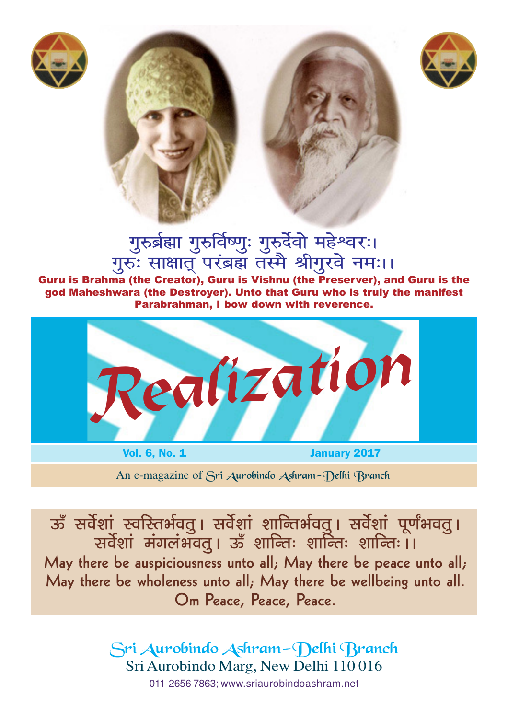



# गुरुर्ब्रह्मा गुरुर्विष्णुः गुरुर्देवो महेश्वरः। गुरुः साक्षात् परंब्रह्म तस्मै श्रीगुरवे नमः।।

Guru is Brahma (the Creator), Guru is Vishnu (the Preserver), and Guru is the god Maheshwara (the Destroyer). Unto that Guru who is truly the manifest Parabrahman, I bow down with reverence.



An e-magazine of Sri Aurobindo Ashram-Delhi Branch

ॐ सर्वेशां स्वस्तिर्भवतु । सर्वेशां शान्तिर्भवतु । सर्वेशां पूर्णंभवतु । सर्वेशां मंगलंभवतु । ऊँ शान्तिः शान्तिः शान्तिः ।। **May there be auspiciousness unto all; May there be peace unto all; May there be wholeness unto all; May there be wellbeing unto all. Om Peace, Peace, Peace.**

> Sri Aurobindo Ashram-Delhi Branch Sri Aurobindo Marg, New Delhi 110 016 011-2656 7863; www.sriaurobindoashram.net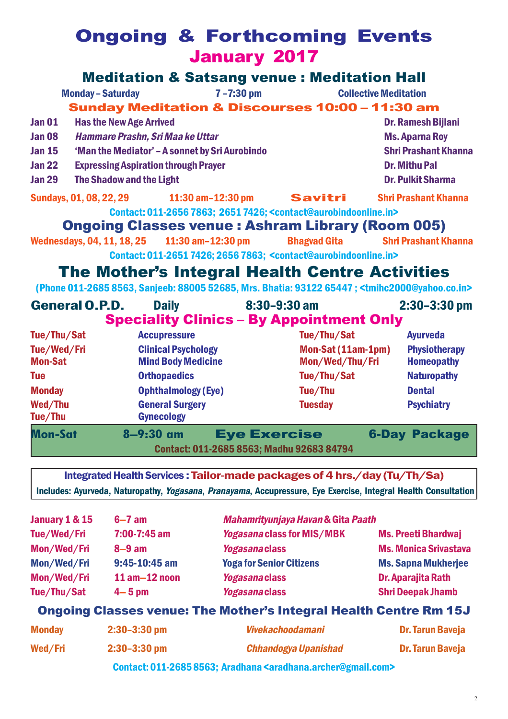### Ongoing & Forthcoming Events January 2017

|                                           | <b>Meditation &amp; Satsang venue: Meditation Hall</b>                                       |                     |                                       |                                                                                                                       |
|-------------------------------------------|----------------------------------------------------------------------------------------------|---------------------|---------------------------------------|-----------------------------------------------------------------------------------------------------------------------|
| <b>Monday - Saturday</b>                  |                                                                                              | $7 - 7:30$ pm       |                                       | <b>Collective Meditation</b>                                                                                          |
|                                           | <b>Sunday Meditation &amp; Discourses 10:00 - 11:30 am</b>                                   |                     |                                       |                                                                                                                       |
| <b>Jan 01</b>                             | <b>Has the New Age Arrived</b>                                                               |                     |                                       | <b>Dr. Ramesh Bijlani</b>                                                                                             |
| <b>Jan 08</b>                             | <b>Hammare Prashn, Sri Maa ke Uttar</b>                                                      |                     |                                       | <b>Ms. Aparna Roy</b>                                                                                                 |
| <b>Jan 15</b>                             | 'Man the Mediator' - A sonnet by Sri Aurobindo                                               |                     |                                       | <b>Shri Prashant Khanna</b>                                                                                           |
| <b>Jan 22</b>                             | <b>Expressing Aspiration through Prayer</b>                                                  |                     |                                       | <b>Dr. Mithu Pal</b>                                                                                                  |
| <b>Jan 29</b>                             | <b>The Shadow and the Light</b>                                                              |                     |                                       | <b>Dr. Pulkit Sharma</b>                                                                                              |
|                                           | Sundays, 01, 08, 22, 29 11:30 am-12:30 pm Savitri                                            |                     |                                       | <b>Shri Prashant Khanna</b>                                                                                           |
|                                           | Contact: 011-2656 7863; 2651 7426; <contact@aurobindoonline.in></contact@aurobindoonline.in> |                     |                                       |                                                                                                                       |
|                                           | <b>Ongoing Classes venue: Ashram Library (Room 005)</b>                                      |                     |                                       |                                                                                                                       |
|                                           | Wednesdays, 04, 11, 18, 25 11:30 am-12:30 pm                                                 |                     | <b>Bhagvad Gita</b>                   | <b>Shri Prashant Khanna</b>                                                                                           |
|                                           | Contact: 011-2651 7426; 2656 7863; <contact@aurobindoonline.in></contact@aurobindoonline.in> |                     |                                       |                                                                                                                       |
|                                           | <b>The Mother's Integral Health Centre Activities</b>                                        |                     |                                       |                                                                                                                       |
|                                           |                                                                                              |                     |                                       | (Phone 011-2685 8563, Sanjeeb: 88005 52685, Mrs. Bhatia: 93122 65447; <tmihc2000@yahoo.co.in></tmihc2000@yahoo.co.in> |
| <b>General O.P.D.</b>                     | <b>Daily</b>                                                                                 |                     | $8:30 - 9:30$ am                      | $2:30 - 3:30$ pm                                                                                                      |
|                                           | <b>Speciality Clinics - By Appointment Only</b>                                              |                     |                                       |                                                                                                                       |
| Tue/Thu/Sat                               | <b>Accupressure</b>                                                                          |                     | Tue/Thu/Sat                           | <b>Ayurveda</b>                                                                                                       |
| Tue/Wed/Fri<br><b>Mon-Sat</b>             | <b>Clinical Psychology</b><br><b>Mind Body Medicine</b>                                      |                     | Mon-Sat (11am-1pm)<br>Mon/Wed/Thu/Fri | <b>Physiotherapy</b><br><b>Homeopathy</b>                                                                             |
| <b>Tue</b>                                | <b>Orthopaedics</b>                                                                          |                     | Tue/Thu/Sat                           | <b>Naturopathy</b>                                                                                                    |
| <b>Monday</b>                             | <b>Ophthalmology (Eye)</b>                                                                   |                     | Tue/Thu                               | <b>Dental</b>                                                                                                         |
| Wed/Thu                                   | <b>General Surgery</b>                                                                       |                     | <b>Tuesday</b>                        | <b>Psychiatry</b>                                                                                                     |
| Tue/Thu                                   | <b>Gynecology</b>                                                                            |                     |                                       |                                                                                                                       |
| <b>Mon-Sat</b>                            | $8 - 9:30$ am                                                                                | <b>Eye Exercise</b> |                                       | <b>6-Day Package</b>                                                                                                  |
| Contact: 011-2685 8563; Madhu 92683 84794 |                                                                                              |                     |                                       |                                                                                                                       |

Integrated Health Services : Tailor-made packages of 4 hrs./day (Tu/Th/Sa) Includes: Ayurveda, Naturopathy, Yogasana, Pranayama, Accupressure, Eye Exercise, Integral Health Consultation

| January 1 & 15 | $6 - 7$ am         | Mahamrityunjaya Havan & Gita Paath |                              |  |
|----------------|--------------------|------------------------------------|------------------------------|--|
| Tue/Wed/Fri    | $7:00-7:45$ am     | <i>Yogasana</i> class for MIS/MBK  | <b>Ms. Preeti Bhardwaj</b>   |  |
| Mon/Wed/Fri    | $8-9$ am           | <i><b>Yogasanaclass</b></i>        | <b>Ms. Monica Srivastava</b> |  |
| Mon/Wed/Fri    | $9:45-10:45$ am    | <b>Yoga for Senior Citizens</b>    | <b>Ms. Sapna Mukherjee</b>   |  |
| Mon/Wed/Fri    | $11$ am $-12$ noon | <i><b>Yogasanaclass</b></i>        | Dr. Aparajita Rath           |  |
| Tue/Thu/Sat    | $4 - 5$ pm         | <i><b>Yogasanaclass</b></i>        | <b>Shri Deepak Jhamb</b>     |  |

#### Ongoing Classes venue: The Mother's Integral Health Centre Rm 15J

| <b>Monday</b> | $2:30 - 3:30$ pm | Vivekachoodamani                                                                         | <b>Dr. Tarun Baveja</b> |
|---------------|------------------|------------------------------------------------------------------------------------------|-------------------------|
| Wed/Fri       | $2:30-3:30$ pm   | Chhandogya Upanishad                                                                     | <b>Dr. Tarun Baveja</b> |
|               |                  | Contact: 011-2685 8563; Aradhana <aradhana.archer@gmail.com></aradhana.archer@gmail.com> |                         |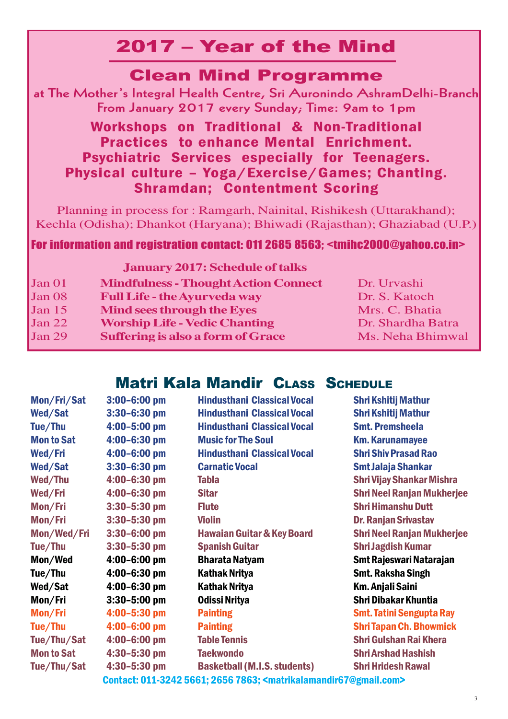### 2017 – Year of the Mind

#### Clean Mind Programme

**at The Mother's Integral Health Centre, Sri Auronindo AshramDelhi-Branch From January 2017 every Sunday; Time: 9am to 1pm**

Workshops on Traditional & Non-Traditional Practices to enhance Mental Enrichment. Psychiatric Services especially for Teenagers. Physical culture – Yoga/Exercise/Games; Chanting. Shramdan; Contentment Scoring

Planning in process for : Ramgarh, Nainital, Rishikesh (Uttarakhand); Kechla (Odisha); Dhankot (Haryana); Bhiwadi (Rajasthan); Ghaziabad (U.P.)

#### For information and registration contact: 011 2685 8563; <tmihc2000@yahoo.co.in>

**January 2017: Schedule of talks**

| Jan 01   | <b>Mindfulness - Thought Action Connect</b> |
|----------|---------------------------------------------|
| Jan 08   | <b>Full Life - the Ayurveda way</b>         |
| Jan $15$ | <b>Mind sees through the Eyes</b>           |
| Jan 22   | <b>Worship Life - Vedic Chanting</b>        |
| Jan 29   | <b>Suffering is also a form of Grace</b>    |

Dr. Urvashi Dr. S. Katoch **Mrs. C. Bhatia** Dr. Shardha Batra **Ms. Neha Bhimwal** 

#### Matri Kala Mandir CLASS SCHEDULE

| Mon/Fri/Sat       | $3:00 - 6:00$ pm | <b>Hindusthani Classical Vocal</b>                                                             | <b>Shri Kshitij Mathur</b>        |
|-------------------|------------------|------------------------------------------------------------------------------------------------|-----------------------------------|
| Wed/Sat           | $3:30-6:30$ pm   | <b>Hindusthani Classical Vocal</b>                                                             | <b>Shri Kshitij Mathur</b>        |
| Tue/Thu           | 4:00-5:00 pm     | <b>Hindusthani Classical Vocal</b>                                                             | <b>Smt. Premsheela</b>            |
| <b>Mon to Sat</b> | 4:00-6:30 pm     | <b>Music for The Soul</b>                                                                      | <b>Km. Karunamayee</b>            |
| Wed/Fri           | 4:00-6:00 pm     | <b>Hindusthani Classical Vocal</b>                                                             | <b>Shri Shiv Prasad Rao</b>       |
| Wed/Sat           | $3:30 - 6:30$ pm | <b>Carnatic Vocal</b>                                                                          | <b>Smt Jalaja Shankar</b>         |
| Wed/Thu           | 4:00-6:30 pm     | <b>Tabla</b>                                                                                   | <b>Shri Vijay Shankar Mishra</b>  |
| Wed/Fri           | $4:00 - 6:30$ pm | <b>Sitar</b>                                                                                   | <b>Shri Neel Ranjan Mukherjee</b> |
| Mon/Fri           | $3:30 - 5:30$ pm | <b>Flute</b>                                                                                   | <b>Shri Himanshu Dutt</b>         |
| Mon/Fri           | $3:30 - 5:30$ pm | <b>Violin</b>                                                                                  | <b>Dr. Ranjan Srivastav</b>       |
| Mon/Wed/Fri       | $3:30-6:00$ pm   | <b>Hawaian Guitar &amp; Key Board</b>                                                          | <b>Shri Neel Ranjan Mukherjee</b> |
| Tue/Thu           | $3:30 - 5:30$ pm | <b>Spanish Guitar</b>                                                                          | <b>Shri Jagdish Kumar</b>         |
| Mon/Wed           | $4:00 - 6:00$ pm | <b>Bharata Natyam</b>                                                                          | Smt Rajeswari Natarajan           |
| Tue/Thu           | $4:00 - 6:30$ pm | <b>Kathak Nritya</b>                                                                           | <b>Smt. Raksha Singh</b>          |
| Wed/Sat           | $4:00 - 6:30$ pm | <b>Kathak Nritya</b>                                                                           | <b>Km. Anjali Saini</b>           |
| Mon/Fri           | $3:30 - 5:00$ pm | Odissi Nritya                                                                                  | <b>Shri Dibakar Khuntia</b>       |
| Mon/Fri           | $4:00 - 5:30$ pm | <b>Painting</b>                                                                                | <b>Smt. Tatini Sengupta Ray</b>   |
| Tue/Thu           | $4:00 - 6:00$ pm | <b>Painting</b>                                                                                | <b>Shri Tapan Ch. Bhowmick</b>    |
| Tue/Thu/Sat       | $4:00 - 6:00$ pm | <b>Table Tennis</b>                                                                            | <b>Shri Gulshan Rai Khera</b>     |
| <b>Mon to Sat</b> | $4:30 - 5:30$ pm | <b>Taekwondo</b>                                                                               | <b>Shri Arshad Hashish</b>        |
| Tue/Thu/Sat       | $4:30 - 5:30$ pm | <b>Basketball (M.I.S. students)</b>                                                            | <b>Shri Hridesh Rawal</b>         |
|                   |                  | Contact: 011-3242 5661; 2656 7863; <matrikalamandir67@gmail.com></matrikalamandir67@gmail.com> |                                   |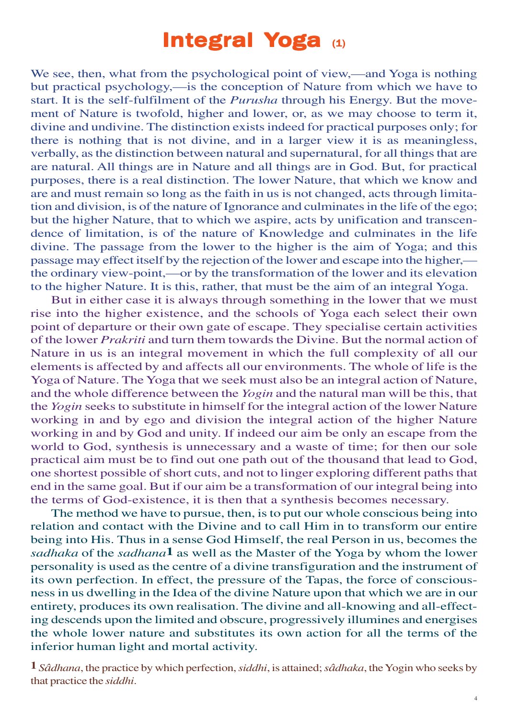## Integral Yoga (1)

We see, then, what from the psychological point of view,—and Yoga is nothing but practical psychology,—is the conception of Nature from which we have to start. It is the self-fulfilment of the *Purusha* through his Energy. But the movement of Nature is twofold, higher and lower, or, as we may choose to term it, divine and undivine. The distinction exists indeed for practical purposes only; for there is nothing that is not divine, and in a larger view it is as meaningless, verbally, as the distinction between natural and supernatural, for all things that are are natural. All things are in Nature and all things are in God. But, for practical purposes, there is a real distinction. The lower Nature, that which we know and are and must remain so long as the faith in us is not changed, acts through limitation and division, is of the nature of Ignorance and culminates in the life of the ego; but the higher Nature, that to which we aspire, acts by unification and transcendence of limitation, is of the nature of Knowledge and culminates in the life divine. The passage from the lower to the higher is the aim of Yoga; and this passage may effect itself by the rejection of the lower and escape into the higher, the ordinary view-point,—or by the transformation of the lower and its elevation to the higher Nature. It is this, rather, that must be the aim of an integral Yoga.

But in either case it is always through something in the lower that we must rise into the higher existence, and the schools of Yoga each select their own point of departure or their own gate of escape. They specialise certain activities of the lower *Prakriti* and turn them towards the Divine. But the normal action of Nature in us is an integral movement in which the full complexity of all our elements is affected by and affects all our environments. The whole of life is the Yoga of Nature. The Yoga that we seek must also be an integral action of Nature, and the whole difference between the *Yogin* and the natural man will be this, that the *Yogin* seeks to substitute in himself for the integral action of the lower Nature working in and by ego and division the integral action of the higher Nature working in and by God and unity. If indeed our aim be only an escape from the world to God, synthesis is unnecessary and a waste of time; for then our sole practical aim must be to find out one path out of the thousand that lead to God, one shortest possible of short cuts, and not to linger exploring different paths that end in the same goal. But if our aim be a transformation of our integral being into the terms of God-existence, it is then that a synthesis becomes necessary.

The method we have to pursue, then, is to put our whole conscious being into relation and contact with the Divine and to call Him in to transform our entire being into His. Thus in a sense God Himself, the real Person in us, becomes the *sadhaka* of the *sadhana***1** as well as the Master of the Yoga by whom the lower personality is used as the centre of a divine transfiguration and the instrument of its own perfection. In effect, the pressure of the Tapas, the force of consciousness in us dwelling in the Idea of the divine Nature upon that which we are in our entirety, produces its own realisation. The divine and all-knowing and all-effecting descends upon the limited and obscure, progressively illumines and energises the whole lower nature and substitutes its own action for all the terms of the inferior human light and mortal activity.

**1** *Sâdhana*, the practice by which perfection, *siddhi*, is attained; *sâdhaka*, the Yogin who seeks by that practice the *siddhi*.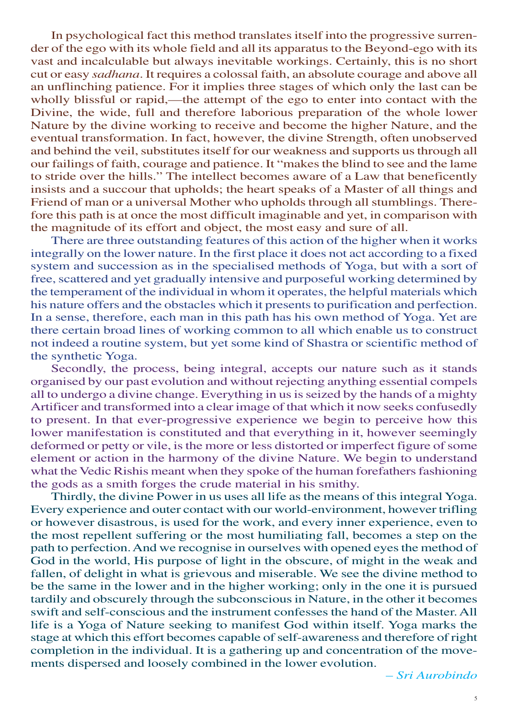In psychological fact this method translates itself into the progressive surrender of the ego with its whole field and all its apparatus to the Beyond-ego with its vast and incalculable but always inevitable workings. Certainly, this is no short cut or easy *sadhana*. It requires a colossal faith, an absolute courage and above all an unflinching patience. For it implies three stages of which only the last can be wholly blissful or rapid,—the attempt of the ego to enter into contact with the Divine, the wide, full and therefore laborious preparation of the whole lower Nature by the divine working to receive and become the higher Nature, and the eventual transformation. In fact, however, the divine Strength, often unobserved and behind the veil, substitutes itself for our weakness and supports us through all our failings of faith, courage and patience. It "makes the blind to see and the lame to stride over the hills." The intellect becomes aware of a Law that beneficently insists and a succour that upholds; the heart speaks of a Master of all things and Friend of man or a universal Mother who upholds through all stumblings. Therefore this path is at once the most difficult imaginable and yet, in comparison with the magnitude of its effort and object, the most easy and sure of all.

There are three outstanding features of this action of the higher when it works integrally on the lower nature. In the first place it does not act according to a fixed system and succession as in the specialised methods of Yoga, but with a sort of free, scattered and yet gradually intensive and purposeful working determined by the temperament of the individual in whom it operates, the helpful materials which his nature offers and the obstacles which it presents to purification and perfection. In a sense, therefore, each man in this path has his own method of Yoga. Yet are there certain broad lines of working common to all which enable us to construct not indeed a routine system, but yet some kind of Shastra or scientific method of the synthetic Yoga.

Secondly, the process, being integral, accepts our nature such as it stands organised by our past evolution and without rejecting anything essential compels all to undergo a divine change. Everything in us is seized by the hands of a mighty Artificer and transformed into a clear image of that which it now seeks confusedly to present. In that ever-progressive experience we begin to perceive how this lower manifestation is constituted and that everything in it, however seemingly deformed or petty or vile, is the more or less distorted or imperfect figure of some element or action in the harmony of the divine Nature. We begin to understand what the Vedic Rishis meant when they spoke of the human forefathers fashioning the gods as a smith forges the crude material in his smithy.

Thirdly, the divine Power in us uses all life as the means of this integral Yoga. Every experience and outer contact with our world-environment, however trifling or however disastrous, is used for the work, and every inner experience, even to the most repellent suffering or the most humiliating fall, becomes a step on the path to perfection. And we recognise in ourselves with opened eyes the method of God in the world, His purpose of light in the obscure, of might in the weak and fallen, of delight in what is grievous and miserable. We see the divine method to be the same in the lower and in the higher working; only in the one it is pursued tardily and obscurely through the subconscious in Nature, in the other it becomes swift and self-conscious and the instrument confesses the hand of the Master. All life is a Yoga of Nature seeking to manifest God within itself. Yoga marks the stage at which this effort becomes capable of self-awareness and therefore of right completion in the individual. It is a gathering up and concentration of the movements dispersed and loosely combined in the lower evolution.

– *Sri Aurobindo*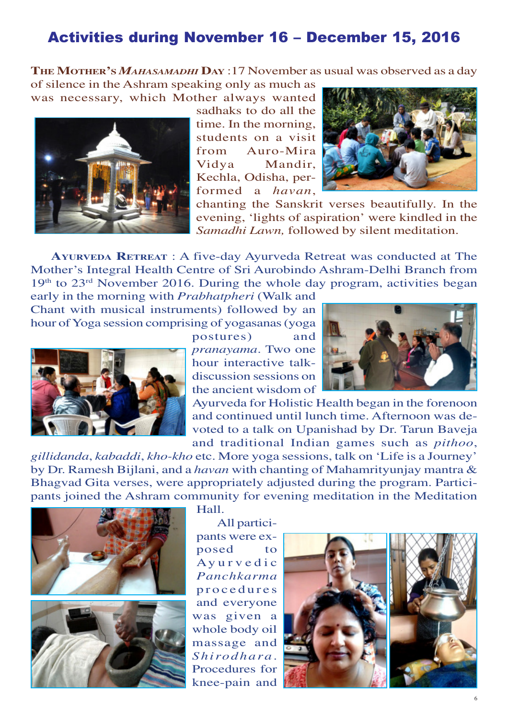#### Activities during November 16 – December 15, 2016

**THE MOTHER'<sup>S</sup>** *MAHASAMADHI* **DAY** :17 November as usual was observed as a day of silence in the Ashram speaking only as much as

was necessary, which Mother always wanted



sadhaks to do all the time. In the morning, students on a visit from Auro-Mira Vidya Mandir, Kechla, Odisha, performed a *havan*,



chanting the Sanskrit verses beautifully. In the evening, 'lights of aspiration' were kindled in the *Samadhi Lawn,* followed by silent meditation.

**AYURVEDA RETREAT** : A five-day Ayurveda Retreat was conducted at The Mother's Integral Health Centre of Sri Aurobindo Ashram-Delhi Branch from  $19<sup>th</sup>$  to  $23<sup>rd</sup>$  November 2016. During the whole day program, activities began early in the morning with *Prabhatpheri* (Walk and

Chant with musical instruments) followed by an hour of Yoga session comprising of yogasanas (yoga



postures) and *pranayama*. Two one hour interactive talkdiscussion sessions on the ancient wisdom of



Ayurveda for Holistic Health began in the forenoon and continued until lunch time. Afternoon was devoted to a talk on Upanishad by Dr. Tarun Baveja and traditional Indian games such as *pithoo*,

*gillidanda*, *kabaddi*, *kho-kho* etc. More yoga sessions, talk on 'Life is a Journey' by Dr. Ramesh Bijlani, and a *havan* with chanting of Mahamrityunjay mantra & Bhagvad Gita verses, were appropriately adjusted during the program. Participants joined the Ashram community for evening meditation in the Meditation





Hall.

All participants were exposed to Ayurvedic *Panchkarma* procedures and everyone was given a whole body oil massage and *Shirodhara*. Procedures for knee-pain and

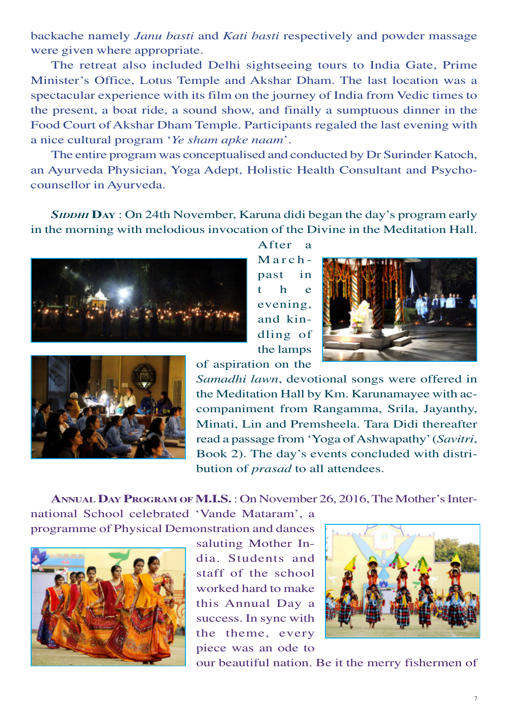backache namely *Janu basti* and *Kati basti* respectively and powder massage were given where appropriate.

The retreat also included Delhi sightseeing tours to India Gate, Prime Minister's Office, Lotus Temple and Akshar Dham. The last location was a spectacular experience with its film on the journey of India from Vedic times to the present, a boat ride, a sound show, and finally a sumptuous dinner in the Food Court of Akshar Dham Temple. Participants regaled the last evening with a nice cultural program '*Ye sham apke naam*'.

The entire program was conceptualised and conducted by Dr Surinder Katoch, an Ayurveda Physician, Yoga Adept, Holistic Health Consultant and Psychocounsellor in Ayurveda.

*SIDDHI* **DAY** : On 24th November, Karuna didi began the day's program early in the morning with melodious invocation of the Divine in the Meditation Hall.



After a Marchpast in t h e evening, and kindling of the lamps





*Samadhi lawn*, devotional songs were offered in the Meditation Hall by Km. Karunamayee with accompaniment from Rangamma, Srila, Jayanthy, Minati, Lin and Premsheela. Tara Didi thereafter read a passage from 'Yoga of Ashwapathy' (*Savitri*, Book 2). The day's events concluded with distribution of *prasad* to all attendees.

**ANNUAL DAY PROGRAM OF M.I.S.** : On November 26, 2016, The Mother's Inter-

national School celebrated 'Vande Mataram', a programme of Physical Demonstration and dances



saluting Mother India. Students and staff of the school worked hard to make this Annual Day a success. In sync with the theme, every piece was an ode to



our beautiful nation. Be it the merry fishermen of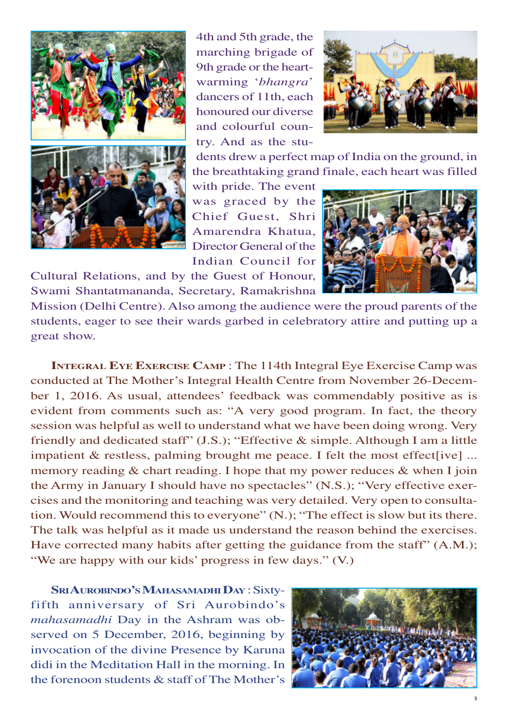

4th and 5th grade, the marching brigade of 9th grade or the heartwarming '*bhangra*' dancers of 11th, each honoured our diverse and colourful country. And as the stu-



dents drew a perfect map of India on the ground, in the breathtaking grand finale, each heart was filled

with pride. The event was graced by the Chief Guest, Shri Amarendra Khatua, Director General of the Indian Council for

Cultural Relations, and by the Guest of Honour, Swami Shantatmananda, Secretary, Ramakrishna



Mission (Delhi Centre). Also among the audience were the proud parents of the students, eager to see their wards garbed in celebratory attire and putting up a great show.

**INTEGRAL EYE EXERCISE CAMP** : The 114th Integral Eye Exercise Camp was conducted at The Mother's Integral Health Centre from November 26-December 1, 2016. As usual, attendees' feedback was commendably positive as is evident from comments such as: "A very good program. In fact, the theory session was helpful as well to understand what we have been doing wrong. Very friendly and dedicated staff" (J.S.); "Effective & simple. Although I am a little impatient & restless, palming brought me peace. I felt the most effect [ive] ... memory reading & chart reading. I hope that my power reduces & when I join the Army in January I should have no spectacles" (N.S.); "Very effective exercises and the monitoring and teaching was very detailed. Very open to consultation. Would recommend this to everyone" (N.); "The effect is slow but its there. The talk was helpful as it made us understand the reason behind the exercises. Have corrected many habits after getting the guidance from the staff" (A.M.); "We are happy with our kids' progress in few days." (V.)

**SRI AUROBINDO'S MAHASAMADHI DAY** : Sixtyfifth anniversary of Sri Aurobindo's *mahasamadhi* Day in the Ashram was observed on 5 December, 2016, beginning by invocation of the divine Presence by Karuna didi in the Meditation Hall in the morning. In the forenoon students & staff of The Mother's

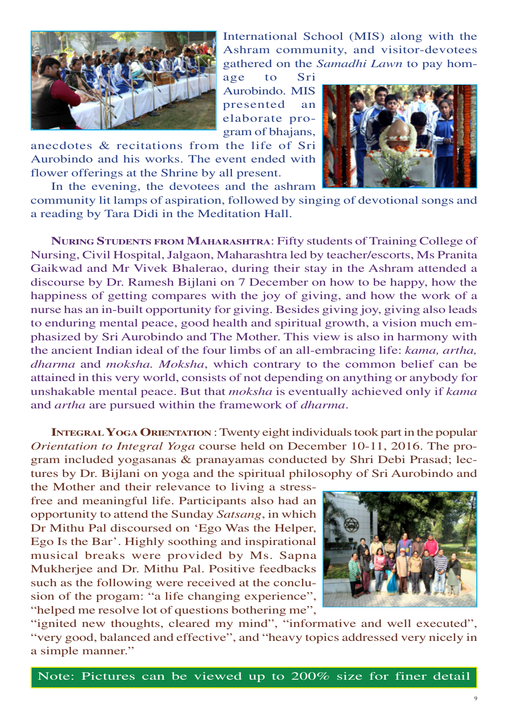

International School (MIS) along with the Ashram community, and visitor-devotees gathered on the *Samadhi Lawn* to pay hom-

age to Sri Aurobindo. MIS presented an elaborate program of bhajans,

anecdotes & recitations from the life of Sri Aurobindo and his works. The event ended with flower offerings at the Shrine by all present. In the evening, the devotees and the ashram



community lit lamps of aspiration, followed by singing of devotional songs and a reading by Tara Didi in the Meditation Hall.

**NURING STUDENTS FROM MAHARASHTRA**: Fifty students of Training College of Nursing, Civil Hospital, Jalgaon, Maharashtra led by teacher/escorts, Ms Pranita Gaikwad and Mr Vivek Bhalerao, during their stay in the Ashram attended a discourse by Dr. Ramesh Bijlani on 7 December on how to be happy, how the happiness of getting compares with the joy of giving, and how the work of a nurse has an in-built opportunity for giving. Besides giving joy, giving also leads to enduring mental peace, good health and spiritual growth, a vision much emphasized by Sri Aurobindo and The Mother. This view is also in harmony with the ancient Indian ideal of the four limbs of an all-embracing life: *kama, artha, dharma* and *moksha. Moksha*, which contrary to the common belief can be attained in this very world, consists of not depending on anything or anybody for unshakable mental peace. But that *moksha* is eventually achieved only if *kama* and *artha* are pursued within the framework of *dharma*.

**INTEGRAL YOGA ORIENTATION** : Twenty eight individuals took part in the popular *Orientation to Integral Yoga* course held on December 10-11, 2016. The program included yogasanas & pranayamas conducted by Shri Debi Prasad; lectures by Dr. Bijlani on yoga and the spiritual philosophy of Sri Aurobindo and

the Mother and their relevance to living a stressfree and meaningful life. Participants also had an opportunity to attend the Sunday *Satsang*, in which Dr Mithu Pal discoursed on 'Ego Was the Helper, Ego Is the Bar'. Highly soothing and inspirational musical breaks were provided by Ms. Sapna Mukherjee and Dr. Mithu Pal. Positive feedbacks such as the following were received at the conclusion of the progam: "a life changing experience", "helped me resolve lot of questions bothering me",



"ignited new thoughts, cleared my mind", "informative and well executed", "very good, balanced and effective", and "heavy topics addressed very nicely in a simple manner."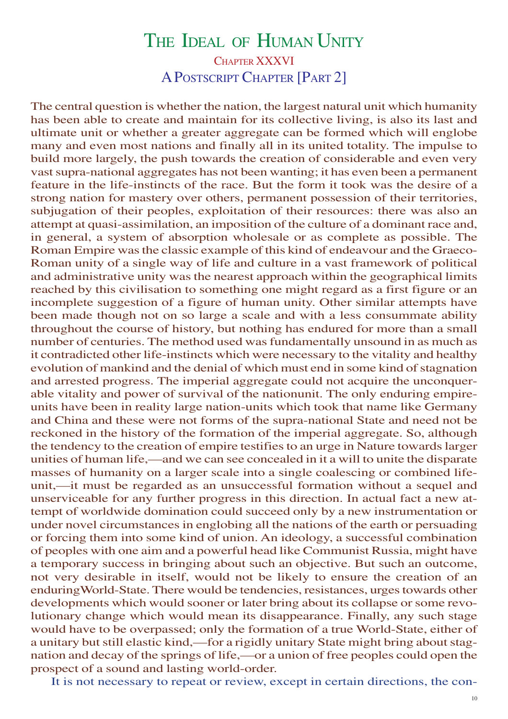### THE IDEAL OF HUMAN UNITY CHAPTER XXXVI A POSTSCRIPT CHAPTER [PART 2]

The central question is whether the nation, the largest natural unit which humanity has been able to create and maintain for its collective living, is also its last and ultimate unit or whether a greater aggregate can be formed which will englobe many and even most nations and finally all in its united totality. The impulse to build more largely, the push towards the creation of considerable and even very vast supra-national aggregates has not been wanting; it has even been a permanent feature in the life-instincts of the race. But the form it took was the desire of a strong nation for mastery over others, permanent possession of their territories, subjugation of their peoples, exploitation of their resources: there was also an attempt at quasi-assimilation, an imposition of the culture of a dominant race and, in general, a system of absorption wholesale or as complete as possible. The Roman Empire was the classic example of this kind of endeavour and the Graeco-Roman unity of a single way of life and culture in a vast framework of political and administrative unity was the nearest approach within the geographical limits reached by this civilisation to something one might regard as a first figure or an incomplete suggestion of a figure of human unity. Other similar attempts have been made though not on so large a scale and with a less consummate ability throughout the course of history, but nothing has endured for more than a small number of centuries. The method used was fundamentally unsound in as much as it contradicted other life-instincts which were necessary to the vitality and healthy evolution of mankind and the denial of which must end in some kind of stagnation and arrested progress. The imperial aggregate could not acquire the unconquerable vitality and power of survival of the nationunit. The only enduring empireunits have been in reality large nation-units which took that name like Germany and China and these were not forms of the supra-national State and need not be reckoned in the history of the formation of the imperial aggregate. So, although the tendency to the creation of empire testifies to an urge in Nature towards larger unities of human life,—and we can see concealed in it a will to unite the disparate masses of humanity on a larger scale into a single coalescing or combined lifeunit,—it must be regarded as an unsuccessful formation without a sequel and unserviceable for any further progress in this direction. In actual fact a new attempt of worldwide domination could succeed only by a new instrumentation or under novel circumstances in englobing all the nations of the earth or persuading or forcing them into some kind of union. An ideology, a successful combination of peoples with one aim and a powerful head like Communist Russia, might have a temporary success in bringing about such an objective. But such an outcome, not very desirable in itself, would not be likely to ensure the creation of an enduringWorld-State. There would be tendencies, resistances, urges towards other developments which would sooner or later bring about its collapse or some revolutionary change which would mean its disappearance. Finally, any such stage would have to be overpassed; only the formation of a true World-State, either of a unitary but still elastic kind,—for a rigidly unitary State might bring about stagnation and decay of the springs of life,—or a union of free peoples could open the prospect of a sound and lasting world-order.

It is not necessary to repeat or review, except in certain directions, the con-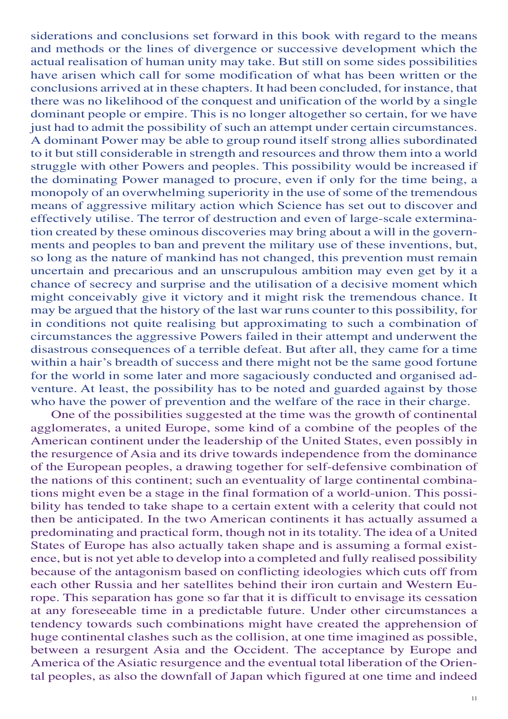siderations and conclusions set forward in this book with regard to the means and methods or the lines of divergence or successive development which the actual realisation of human unity may take. But still on some sides possibilities have arisen which call for some modification of what has been written or the conclusions arrived at in these chapters. It had been concluded, for instance, that there was no likelihood of the conquest and unification of the world by a single dominant people or empire. This is no longer altogether so certain, for we have just had to admit the possibility of such an attempt under certain circumstances. A dominant Power may be able to group round itself strong allies subordinated to it but still considerable in strength and resources and throw them into a world struggle with other Powers and peoples. This possibility would be increased if the dominating Power managed to procure, even if only for the time being, a monopoly of an overwhelming superiority in the use of some of the tremendous means of aggressive military action which Science has set out to discover and effectively utilise. The terror of destruction and even of large-scale extermination created by these ominous discoveries may bring about a will in the governments and peoples to ban and prevent the military use of these inventions, but, so long as the nature of mankind has not changed, this prevention must remain uncertain and precarious and an unscrupulous ambition may even get by it a chance of secrecy and surprise and the utilisation of a decisive moment which might conceivably give it victory and it might risk the tremendous chance. It may be argued that the history of the last war runs counter to this possibility, for in conditions not quite realising but approximating to such a combination of circumstances the aggressive Powers failed in their attempt and underwent the disastrous consequences of a terrible defeat. But after all, they came for a time within a hair's breadth of success and there might not be the same good fortune for the world in some later and more sagaciously conducted and organised adventure. At least, the possibility has to be noted and guarded against by those who have the power of prevention and the welfare of the race in their charge.

One of the possibilities suggested at the time was the growth of continental agglomerates, a united Europe, some kind of a combine of the peoples of the American continent under the leadership of the United States, even possibly in the resurgence of Asia and its drive towards independence from the dominance of the European peoples, a drawing together for self-defensive combination of the nations of this continent; such an eventuality of large continental combinations might even be a stage in the final formation of a world-union. This possibility has tended to take shape to a certain extent with a celerity that could not then be anticipated. In the two American continents it has actually assumed a predominating and practical form, though not in its totality. The idea of a United States of Europe has also actually taken shape and is assuming a formal existence, but is not yet able to develop into a completed and fully realised possibility because of the antagonism based on conflicting ideologies which cuts off from each other Russia and her satellites behind their iron curtain and Western Europe. This separation has gone so far that it is difficult to envisage its cessation at any foreseeable time in a predictable future. Under other circumstances a tendency towards such combinations might have created the apprehension of huge continental clashes such as the collision, at one time imagined as possible, between a resurgent Asia and the Occident. The acceptance by Europe and America of the Asiatic resurgence and the eventual total liberation of the Oriental peoples, as also the downfall of Japan which figured at one time and indeed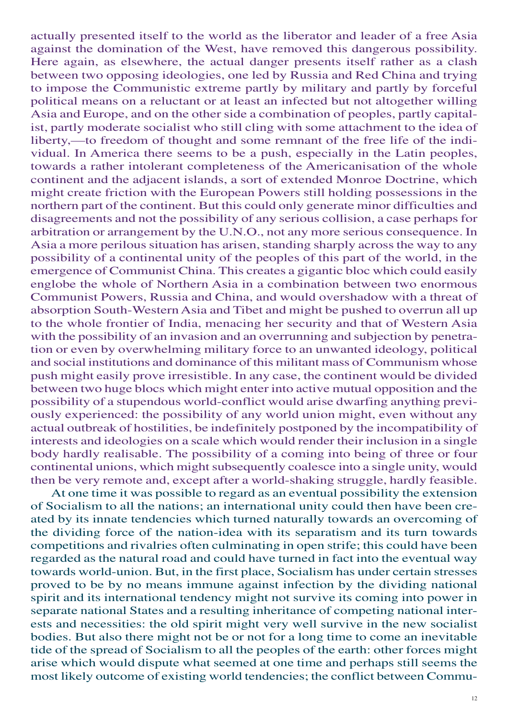actually presented itself to the world as the liberator and leader of a free Asia against the domination of the West, have removed this dangerous possibility. Here again, as elsewhere, the actual danger presents itself rather as a clash between two opposing ideologies, one led by Russia and Red China and trying to impose the Communistic extreme partly by military and partly by forceful political means on a reluctant or at least an infected but not altogether willing Asia and Europe, and on the other side a combination of peoples, partly capitalist, partly moderate socialist who still cling with some attachment to the idea of liberty,—to freedom of thought and some remnant of the free life of the individual. In America there seems to be a push, especially in the Latin peoples, towards a rather intolerant completeness of the Americanisation of the whole continent and the adjacent islands, a sort of extended Monroe Doctrine, which might create friction with the European Powers still holding possessions in the northern part of the continent. But this could only generate minor difficulties and disagreements and not the possibility of any serious collision, a case perhaps for arbitration or arrangement by the U.N.O., not any more serious consequence. In Asia a more perilous situation has arisen, standing sharply across the way to any possibility of a continental unity of the peoples of this part of the world, in the emergence of Communist China. This creates a gigantic bloc which could easily englobe the whole of Northern Asia in a combination between two enormous Communist Powers, Russia and China, and would overshadow with a threat of absorption South-Western Asia and Tibet and might be pushed to overrun all up to the whole frontier of India, menacing her security and that of Western Asia with the possibility of an invasion and an overrunning and subjection by penetration or even by overwhelming military force to an unwanted ideology, political and social institutions and dominance of this militant mass of Communism whose push might easily prove irresistible. In any case, the continent would be divided between two huge blocs which might enter into active mutual opposition and the possibility of a stupendous world-conflict would arise dwarfing anything previously experienced: the possibility of any world union might, even without any actual outbreak of hostilities, be indefinitely postponed by the incompatibility of interests and ideologies on a scale which would render their inclusion in a single body hardly realisable. The possibility of a coming into being of three or four continental unions, which might subsequently coalesce into a single unity, would then be very remote and, except after a world-shaking struggle, hardly feasible.

At one time it was possible to regard as an eventual possibility the extension of Socialism to all the nations; an international unity could then have been created by its innate tendencies which turned naturally towards an overcoming of the dividing force of the nation-idea with its separatism and its turn towards competitions and rivalries often culminating in open strife; this could have been regarded as the natural road and could have turned in fact into the eventual way towards world-union. But, in the first place, Socialism has under certain stresses proved to be by no means immune against infection by the dividing national spirit and its international tendency might not survive its coming into power in separate national States and a resulting inheritance of competing national interests and necessities: the old spirit might very well survive in the new socialist bodies. But also there might not be or not for a long time to come an inevitable tide of the spread of Socialism to all the peoples of the earth: other forces might arise which would dispute what seemed at one time and perhaps still seems the most likely outcome of existing world tendencies; the conflict between Commu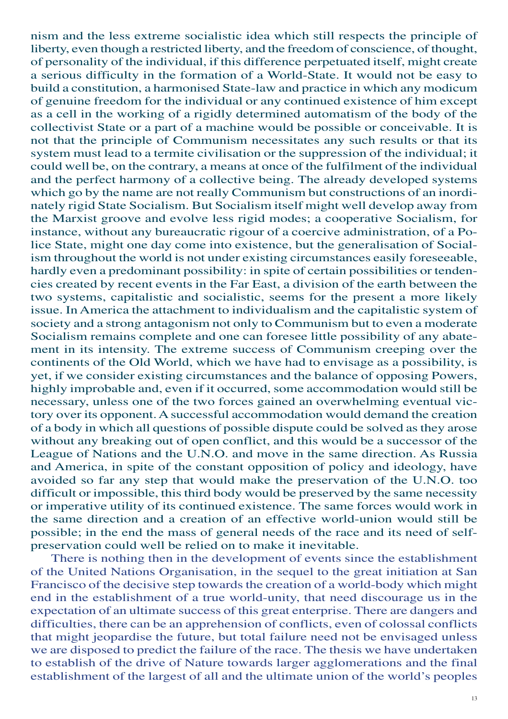nism and the less extreme socialistic idea which still respects the principle of liberty, even though a restricted liberty, and the freedom of conscience, of thought, of personality of the individual, if this difference perpetuated itself, might create a serious difficulty in the formation of a World-State. It would not be easy to build a constitution, a harmonised State-law and practice in which any modicum of genuine freedom for the individual or any continued existence of him except as a cell in the working of a rigidly determined automatism of the body of the collectivist State or a part of a machine would be possible or conceivable. It is not that the principle of Communism necessitates any such results or that its system must lead to a termite civilisation or the suppression of the individual; it could well be, on the contrary, a means at once of the fulfilment of the individual and the perfect harmony of a collective being. The already developed systems which go by the name are not really Communism but constructions of an inordinately rigid State Socialism. But Socialism itself might well develop away from the Marxist groove and evolve less rigid modes; a cooperative Socialism, for instance, without any bureaucratic rigour of a coercive administration, of a Police State, might one day come into existence, but the generalisation of Socialism throughout the world is not under existing circumstances easily foreseeable, hardly even a predominant possibility: in spite of certain possibilities or tendencies created by recent events in the Far East, a division of the earth between the two systems, capitalistic and socialistic, seems for the present a more likely issue. In America the attachment to individualism and the capitalistic system of society and a strong antagonism not only to Communism but to even a moderate Socialism remains complete and one can foresee little possibility of any abatement in its intensity. The extreme success of Communism creeping over the continents of the Old World, which we have had to envisage as a possibility, is yet, if we consider existing circumstances and the balance of opposing Powers, highly improbable and, even if it occurred, some accommodation would still be necessary, unless one of the two forces gained an overwhelming eventual victory over its opponent. A successful accommodation would demand the creation of a body in which all questions of possible dispute could be solved as they arose without any breaking out of open conflict, and this would be a successor of the League of Nations and the U.N.O. and move in the same direction. As Russia and America, in spite of the constant opposition of policy and ideology, have avoided so far any step that would make the preservation of the U.N.O. too difficult or impossible, this third body would be preserved by the same necessity or imperative utility of its continued existence. The same forces would work in the same direction and a creation of an effective world-union would still be possible; in the end the mass of general needs of the race and its need of selfpreservation could well be relied on to make it inevitable.

There is nothing then in the development of events since the establishment of the United Nations Organisation, in the sequel to the great initiation at San Francisco of the decisive step towards the creation of a world-body which might end in the establishment of a true world-unity, that need discourage us in the expectation of an ultimate success of this great enterprise. There are dangers and difficulties, there can be an apprehension of conflicts, even of colossal conflicts that might jeopardise the future, but total failure need not be envisaged unless we are disposed to predict the failure of the race. The thesis we have undertaken to establish of the drive of Nature towards larger agglomerations and the final establishment of the largest of all and the ultimate union of the world's peoples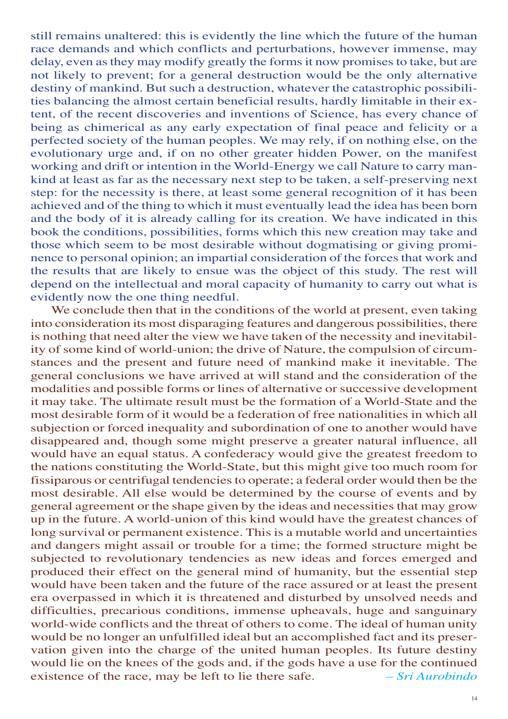still remains unaltered: this is evidently the line which the future of the human race demands and which conflicts and perturbations, however immense, may delay, even as they may modify greatly the forms it now promises to take, but are not likely to prevent; for a general destruction would be the only alternative destiny of mankind. But such a destruction, whatever the catastrophic possibilities balancing the almost certain beneficial results, hardly limitable in their extent, of the recent discoveries and inventions of Science, has every chance of being as chimerical as any early expectation of final peace and felicity or a perfected society of the human peoples. We may rely, if on nothing else, on the evolutionary urge and, if on no other greater hidden Power, on the manifest working and drift or intention in the World-Energy we call Nature to carry mankind at least as far as the necessary next step to be taken, a self-preserving next step: for the necessity is there, at least some general recognition of it has been achieved and of the thing to which it must eventually lead the idea has been born and the body of it is already calling for its creation. We have indicated in this book the conditions, possibilities, forms which this new creation may take and those which seem to be most desirable without dogmatising or giving prominence to personal opinion; an impartial consideration of the forces that work and the results that are likely to ensue was the object of this study. The rest will depend on the intellectual and moral capacity of humanity to carry out what is evidently now the one thing needful.

We conclude then that in the conditions of the world at present, even taking into consideration its most disparaging features and dangerous possibilities, there is nothing that need alter the view we have taken of the necessity and inevitability of some kind of world-union; the drive of Nature, the compulsion of circumstances and the present and future need of mankind make it inevitable. The general conclusions we have arrived at will stand and the consideration of the modalities and possible forms or lines of alternative or successive development it may take. The ultimate result must be the formation of a World-State and the most desirable form of it would be a federation of free nationalities in which all subjection or forced inequality and subordination of one to another would have disappeared and, though some might preserve a greater natural influence, all would have an equal status. A confederacy would give the greatest freedom to the nations constituting the World-State, but this might give too much room for fissiparous or centrifugal tendencies to operate; a federal order would then be the most desirable. All else would be determined by the course of events and by general agreement or the shape given by the ideas and necessities that may grow up in the future. A world-union of this kind would have the greatest chances of long survival or permanent existence. This is a mutable world and uncertainties and dangers might assail or trouble for a time; the formed structure might be subjected to revolutionary tendencies as new ideas and forces emerged and produced their effect on the general mind of humanity, but the essential step would have been taken and the future of the race assured or at least the present era overpassed in which it is threatened and disturbed by unsolved needs and difficulties, precarious conditions, immense upheavals, huge and sanguinary world-wide conflicts and the threat of others to come. The ideal of human unity would be no longer an unfulfilled ideal but an accomplished fact and its preservation given into the charge of the united human peoples. Its future destiny would lie on the knees of the gods and, if the gods have a use for the continued existence of the race, may be left to lie there safe. – *Sri Aurobindo*